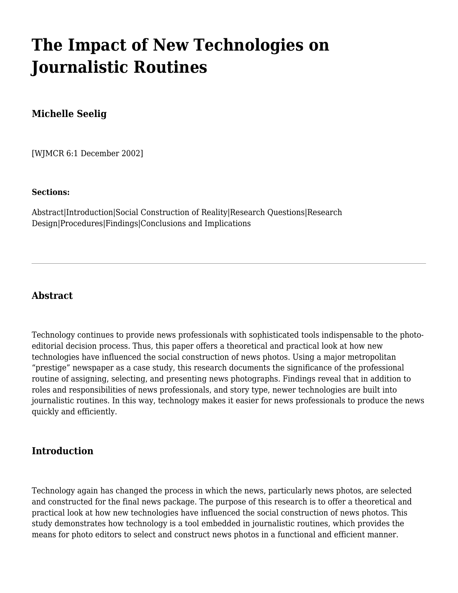# **[The Impact of New Technologies on](http://wjmcr.info/2002/12/01/the-impact-of-new-technologies-on-journalistic-routines/) [Journalistic Routines](http://wjmcr.info/2002/12/01/the-impact-of-new-technologies-on-journalistic-routines/)**

# **[Michelle Seelig](https://catmailohio-my.sharepoint.com/personal/meyerh_ohio_edu/_layouts/15/onedrive.aspx?ct=1563394179723&or=OWA%2DNT&cid=f18e3338%2D1962%2D4b3d%2Daf0f%2Df13b4823509f&FolderCTID=0x0120005A197611EB7FF6458080F80BCB589642&id=%2Fpersonal%2Fmeyerh%5Fohio%5Fedu%2FDocuments%2FWJMCR%2Fwjmcr%20backup%2Fvol06%2F6%2D1a%2Db%2Ehtml&parent=%2Fpersonal%2Fmeyerh%5Fohio%5Fedu%2FDocuments%2FWJMCR%2Fwjmcr%20backup%2Fvol06#authornotes)**

[\[WJMCR](http://www.wjmcr.info) 6:1 December 2002]

#### **Sections:**

[Abstract](#page--1-0)|[Introduction](#page--1-0)|[Social Construction of Reality](#page--1-0)|[Research Questions|Research](#page--1-0) [Design](#page--1-0)|[Procedures|Findings|Conclusions and Implications](#page--1-0)

# **Abstract**

Technology continues to provide news professionals with sophisticated tools indispensable to the photoeditorial decision process. Thus, this paper offers a theoretical and practical look at how new technologies have influenced the social construction of news photos. Using a major metropolitan "prestige" newspaper as a case study, this research documents the significance of the professional routine of assigning, selecting, and presenting news photographs. Findings reveal that in addition to roles and responsibilities of news professionals, and story type, newer technologies are built into journalistic routines. In this way, technology makes it easier for news professionals to produce the news quickly and efficiently.

# **Introduction**

Technology again has changed the process in which the news, particularly news photos, are selected and constructed for the final news package. The purpose of this research is to offer a theoretical and practical look at how new technologies have influenced the social construction of news photos. This study demonstrates how technology is a tool embedded in journalistic routines, which provides the means for photo editors to select and construct news photos in a functional and efficient manner.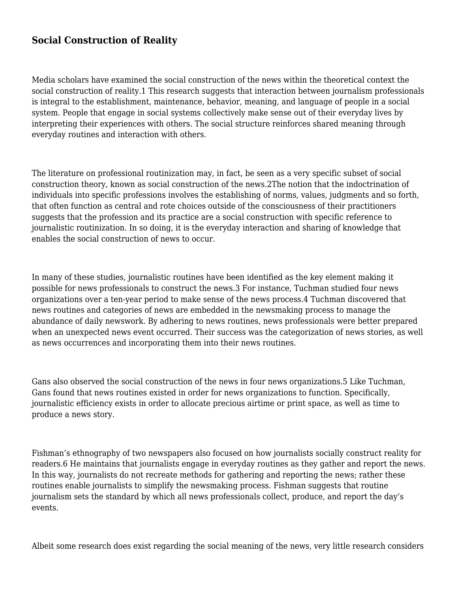# **Social Construction of Reality**

Media scholars have examined the social construction of the news within the theoretical context the social construction of reality.[1](#page--1-0) This research suggests that interaction between journalism professionals is integral to the establishment, maintenance, behavior, meaning, and language of people in a social system. People that engage in social systems collectively make sense out of their everyday lives by interpreting their experiences with others. The social structure reinforces shared meaning through everyday routines and interaction with others.

The literature on professional routinization may, in fact, be seen as a very specific subset of social construction theory, known as social construction of the news[.2](#page--1-0)The notion that the indoctrination of individuals into specific professions involves the establishing of norms, values, judgments and so forth, that often function as central and rote choices outside of the consciousness of their practitioners suggests that the profession and its practice are a social construction with specific reference to journalistic routinization. In so doing, it is the everyday interaction and sharing of knowledge that enables the social construction of news to occur.

In many of these studies, journalistic routines have been identified as the key element making it possible for news professionals to construct the news.[3](#page--1-0) For instance, Tuchman studied four news organizations over a ten-year period to make sense of the news process.[4](#page--1-0) Tuchman discovered that news routines and categories of news are embedded in the newsmaking process to manage the abundance of daily newswork. By adhering to news routines, news professionals were better prepared when an unexpected news event occurred. Their success was the categorization of news stories, as well as news occurrences and incorporating them into their news routines.

Gans also observed the social construction of the news in four news organizations[.5](#page--1-0) Like Tuchman, Gans found that news routines existed in order for news organizations to function. Specifically, journalistic efficiency exists in order to allocate precious airtime or print space, as well as time to produce a news story.

Fishman's ethnography of two newspapers also focused on how journalists socially construct reality for readers[.6 H](#page--1-0)e maintains that journalists engage in everyday routines as they gather and report the news. In this way, journalists do not recreate methods for gathering and reporting the news; rather these routines enable journalists to simplify the newsmaking process. Fishman suggests that routine journalism sets the standard by which all news professionals collect, produce, and report the day's events.

Albeit some research does exist regarding the social meaning of the news, very little research considers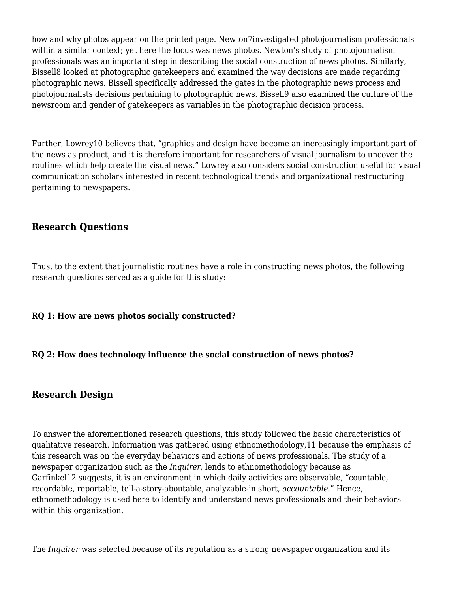how and why photos appear on the printed page. Newton[7i](#page--1-0)nvestigated photojournalism professionals within a similar context; yet here the focus was news photos. Newton's study of photojournalism professionals was an important step in describing the social construction of news photos. Similarly, Bissel[l8](#page--1-0) looked at photographic gatekeepers and examined the way decisions are made regarding photographic news. Bissell specifically addressed the gates in the photographic news process and photojournalists decisions pertaining to photographic news. Bissel[l9](#page--1-0) also examined the culture of the newsroom and gender of gatekeepers as variables in the photographic decision process.

Further, Lowrey[10](#page--1-0) believes that, "graphics and design have become an increasingly important part of the news as product, and it is therefore important for researchers of visual journalism to uncover the routines which help create the visual news." Lowrey also considers social construction useful for visual communication scholars interested in recent technological trends and organizational restructuring pertaining to newspapers.

## **Research Questions**

Thus, to the extent that journalistic routines have a role in constructing news photos, the following research questions served as a guide for this study:

#### **RQ 1: How are news photos socially constructed?**

#### **RQ 2: How does technology influence the social construction of news photos?**

## **Research Design**

To answer the aforementioned research questions, this study followed the basic characteristics of qualitative research. Information was gathered using ethnomethodology[,11](#page--1-0) because the emphasis of this research was on the everyday behaviors and actions of news professionals. The study of a newspaper organization such as the *Inquirer*, lends to ethnomethodology because as Garfinke[l12](#page--1-0) suggests, it is an environment in which daily activities are observable, "countable, recordable, reportable, tell-a-story-aboutable, analyzable-in short, *accountable*." Hence, ethnomethodology is used here to identify and understand news professionals and their behaviors within this organization.

The *Inquirer* was selected because of its reputation as a strong newspaper organization and its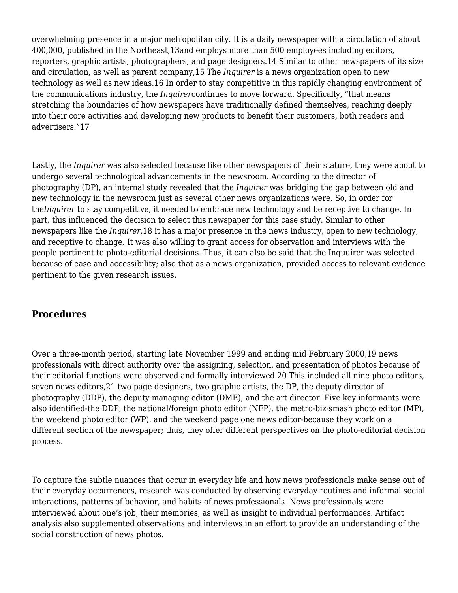overwhelming presence in a major metropolitan city. It is a daily newspaper with a circulation of about 400,000, published in the Northeast,[13](#page--1-0)and employs more than 500 employees including editors, reporters, graphic artists, photographers, and page designers[.14](#page--1-0) Similar to other newspapers of its size and circulation, as well as parent company[,15](#page--1-0) The *Inquirer* is a news organization open to new technology as well as new ideas[.16](#page--1-0) In order to stay competitive in this rapidly changing environment of the communications industry, the *Inquirer*continues to move forward. Specifically, "that means stretching the boundaries of how newspapers have traditionally defined themselves, reaching deeply into their core activities and developing new products to benefit their customers, both readers and advertisers."[17](#page--1-0)

Lastly, the *Inquirer* was also selected because like other newspapers of their stature, they were about to undergo several technological advancements in the newsroom. According to the director of photography (DP), an internal study revealed that the *Inquirer* was bridging the gap between old and new technology in the newsroom just as several other news organizations were. So, in order for the*Inquirer* to stay competitive, it needed to embrace new technology and be receptive to change. In part, this influenced the decision to select this newspaper for this case study. Similar to other newspapers like the *Inquirer*,[18](#page--1-0) it has a major presence in the news industry, open to new technology, and receptive to change. It was also willing to grant access for observation and interviews with the people pertinent to photo-editorial decisions. Thus, it can also be said that the Inquuirer was selected because of ease and accessibility; also that as a news organization, provided access to relevant evidence pertinent to the given research issues.

# **Procedures**

Over a three-month period, starting late November 1999 and ending mid February 2000,[19](#page--1-0) news professionals with direct authority over the assigning, selection, and presentation of photos because of their editorial functions were observed and formally interviewed.[20](#page--1-0) This included all nine photo editors, seven news editors,[21](#page--1-0) two page designers, two graphic artists, the DP, the deputy director of photography (DDP), the deputy managing editor (DME), and the art director. Five key informants were also identified-the DDP, the national/foreign photo editor (NFP), the metro-biz-smash photo editor (MP), the weekend photo editor (WP), and the weekend page one news editor-because they work on a different section of the newspaper; thus, they offer different perspectives on the photo-editorial decision process.

To capture the subtle nuances that occur in everyday life and how news professionals make sense out of their everyday occurrences, research was conducted by observing everyday routines and informal social interactions, patterns of behavior, and habits of news professionals. News professionals were interviewed about one's job, their memories, as well as insight to individual performances. Artifact analysis also supplemented observations and interviews in an effort to provide an understanding of the social construction of news photos.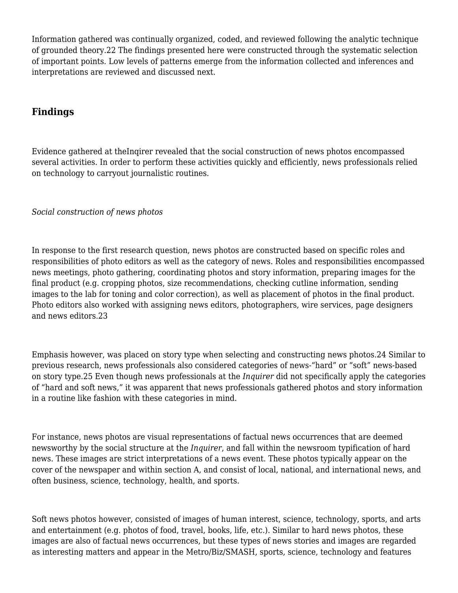Information gathered was continually organized, coded, and reviewed following the analytic technique of grounded theory[.22](#page--1-0) The findings presented here were constructed through the systematic selection of important points. Low levels of patterns emerge from the information collected and inferences and interpretations are reviewed and discussed next.

# **Findings**

Evidence gathered at theInqirer revealed that the social construction of news photos encompassed several activities. In order to perform these activities quickly and efficiently, news professionals relied on technology to carryout journalistic routines.

*Social construction of news photos*

In response to the first research question, news photos are constructed based on specific roles and responsibilities of photo editors as well as the category of news. Roles and responsibilities encompassed news meetings, photo gathering, coordinating photos and story information, preparing images for the final product (e.g. cropping photos, size recommendations, checking cutline information, sending images to the lab for toning and color correction), as well as placement of photos in the final product. Photo editors also worked with assigning news editors, photographers, wire services, page designers and news editors[.23](#page--1-0)

Emphasis however, was placed on story type when selecting and constructing news photos.[24](#page--1-0) Similar to previous research, news professionals also considered categories of news-"hard" or "soft" news-based on story type[.25](#page--1-0) Even though news professionals at the *Inquirer* did not specifically apply the categories of "hard and soft news," it was apparent that news professionals gathered photos and story information in a routine like fashion with these categories in mind.

For instance, news photos are visual representations of factual news occurrences that are deemed newsworthy by the social structure at the *Inquirer*, and fall within the newsroom typification of hard news. These images are strict interpretations of a news event. These photos typically appear on the cover of the newspaper and within section A, and consist of local, national, and international news, and often business, science, technology, health, and sports.

Soft news photos however, consisted of images of human interest, science, technology, sports, and arts and entertainment (e.g. photos of food, travel, books, life, etc.). Similar to hard news photos, these images are also of factual news occurrences, but these types of news stories and images are regarded as interesting matters and appear in the Metro/Biz/SMASH, sports, science, technology and features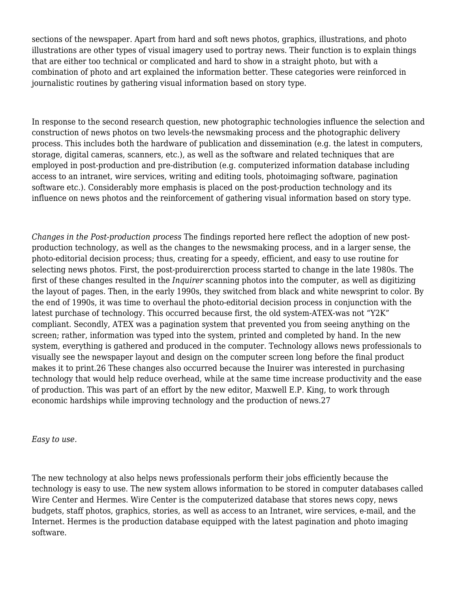sections of the newspaper. Apart from hard and soft news photos, graphics, illustrations, and photo illustrations are other types of visual imagery used to portray news. Their function is to explain things that are either too technical or complicated and hard to show in a straight photo, but with a combination of photo and art explained the information better. These categories were reinforced in journalistic routines by gathering visual information based on story type.

In response to the second research question, new photographic technologies influence the selection and construction of news photos on two levels-the newsmaking process and the photographic delivery process. This includes both the hardware of publication and dissemination (e.g. the latest in computers, storage, digital cameras, scanners, etc.), as well as the software and related techniques that are employed in post-production and pre-distribution (e.g. computerized information database including access to an intranet, wire services, writing and editing tools, photoimaging software, pagination software etc.). Considerably more emphasis is placed on the post-production technology and its influence on news photos and the reinforcement of gathering visual information based on story type.

*Changes in the Post-production process* The findings reported here reflect the adoption of new postproduction technology, as well as the changes to the newsmaking process, and in a larger sense, the photo-editorial decision process; thus, creating for a speedy, efficient, and easy to use routine for selecting news photos. First, the post-produirerction process started to change in the late 1980s. The first of these changes resulted in the *Inquirer* scanning photos into the computer, as well as digitizing the layout of pages. Then, in the early 1990s, they switched from black and white newsprint to color. By the end of 1990s, it was time to overhaul the photo-editorial decision process in conjunction with the latest purchase of technology. This occurred because first, the old system-ATEX-was not "Y2K" compliant. Secondly, ATEX was a pagination system that prevented you from seeing anything on the screen; rather, information was typed into the system, printed and completed by hand. In the new system, everything is gathered and produced in the computer. Technology allows news professionals to visually see the newspaper layout and design on the computer screen long before the final product makes it to print.[26 T](#page--1-0)hese changes also occurred because the Inuirer was interested in purchasing technology that would help reduce overhead, while at the same time increase productivity and the ease of production. This was part of an effort by the new editor, Maxwell E.P. King, to work through economic hardships while improving technology and the production of news[.27](#page--1-0)

*Easy to use.*

The new technology at also helps news professionals perform their jobs efficiently because the technology is easy to use. The new system allows information to be stored in computer databases called Wire Center and Hermes. Wire Center is the computerized database that stores news copy, news budgets, staff photos, graphics, stories, as well as access to an Intranet, wire services, e-mail, and the Internet. Hermes is the production database equipped with the latest pagination and photo imaging software.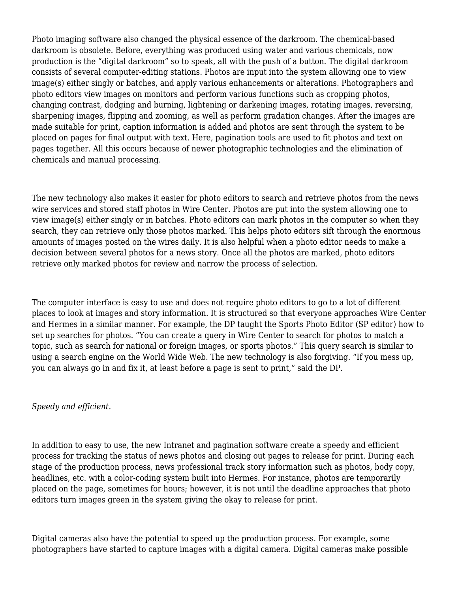Photo imaging software also changed the physical essence of the darkroom. The chemical-based darkroom is obsolete. Before, everything was produced using water and various chemicals, now production is the "digital darkroom" so to speak, all with the push of a button. The digital darkroom consists of several computer-editing stations. Photos are input into the system allowing one to view image(s) either singly or batches, and apply various enhancements or alterations. Photographers and photo editors view images on monitors and perform various functions such as cropping photos, changing contrast, dodging and burning, lightening or darkening images, rotating images, reversing, sharpening images, flipping and zooming, as well as perform gradation changes. After the images are made suitable for print, caption information is added and photos are sent through the system to be placed on pages for final output with text. Here, pagination tools are used to fit photos and text on pages together. All this occurs because of newer photographic technologies and the elimination of chemicals and manual processing.

The new technology also makes it easier for photo editors to search and retrieve photos from the news wire services and stored staff photos in Wire Center. Photos are put into the system allowing one to view image(s) either singly or in batches. Photo editors can mark photos in the computer so when they search, they can retrieve only those photos marked. This helps photo editors sift through the enormous amounts of images posted on the wires daily. It is also helpful when a photo editor needs to make a decision between several photos for a news story. Once all the photos are marked, photo editors retrieve only marked photos for review and narrow the process of selection.

The computer interface is easy to use and does not require photo editors to go to a lot of different places to look at images and story information. It is structured so that everyone approaches Wire Center and Hermes in a similar manner. For example, the DP taught the Sports Photo Editor (SP editor) how to set up searches for photos. "You can create a query in Wire Center to search for photos to match a topic, such as search for national or foreign images, or sports photos." This query search is similar to using a search engine on the World Wide Web. The new technology is also forgiving. "If you mess up, you can always go in and fix it, at least before a page is sent to print," said the DP.

#### *Speedy and efficient.*

In addition to easy to use, the new Intranet and pagination software create a speedy and efficient process for tracking the status of news photos and closing out pages to release for print. During each stage of the production process, news professional track story information such as photos, body copy, headlines, etc. with a color-coding system built into Hermes. For instance, photos are temporarily placed on the page, sometimes for hours; however, it is not until the deadline approaches that photo editors turn images green in the system giving the okay to release for print.

Digital cameras also have the potential to speed up the production process. For example, some photographers have started to capture images with a digital camera. Digital cameras make possible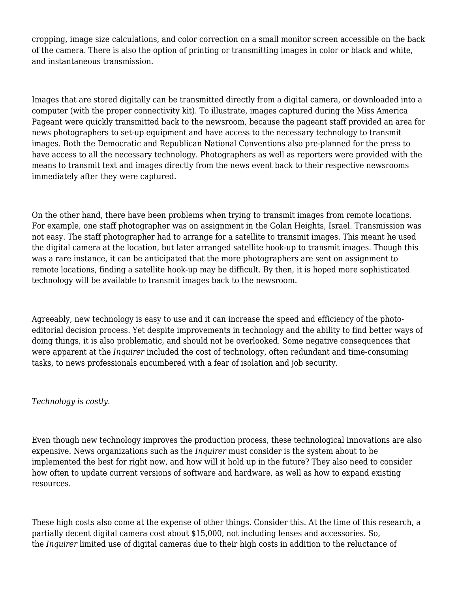cropping, image size calculations, and color correction on a small monitor screen accessible on the back of the camera. There is also the option of printing or transmitting images in color or black and white, and instantaneous transmission.

Images that are stored digitally can be transmitted directly from a digital camera, or downloaded into a computer (with the proper connectivity kit). To illustrate, images captured during the Miss America Pageant were quickly transmitted back to the newsroom, because the pageant staff provided an area for news photographers to set-up equipment and have access to the necessary technology to transmit images. Both the Democratic and Republican National Conventions also pre-planned for the press to have access to all the necessary technology. Photographers as well as reporters were provided with the means to transmit text and images directly from the news event back to their respective newsrooms immediately after they were captured.

On the other hand, there have been problems when trying to transmit images from remote locations. For example, one staff photographer was on assignment in the Golan Heights, Israel. Transmission was not easy. The staff photographer had to arrange for a satellite to transmit images. This meant he used the digital camera at the location, but later arranged satellite hook-up to transmit images. Though this was a rare instance, it can be anticipated that the more photographers are sent on assignment to remote locations, finding a satellite hook-up may be difficult. By then, it is hoped more sophisticated technology will be available to transmit images back to the newsroom.

Agreeably, new technology is easy to use and it can increase the speed and efficiency of the photoeditorial decision process. Yet despite improvements in technology and the ability to find better ways of doing things, it is also problematic, and should not be overlooked. Some negative consequences that were apparent at the *Inquirer* included the cost of technology, often redundant and time-consuming tasks, to news professionals encumbered with a fear of isolation and job security.

## *Technology is costly.*

Even though new technology improves the production process, these technological innovations are also expensive. News organizations such as the *Inquirer* must consider is the system about to be implemented the best for right now, and how will it hold up in the future? They also need to consider how often to update current versions of software and hardware, as well as how to expand existing resources.

These high costs also come at the expense of other things. Consider this. At the time of this research, a partially decent digital camera cost about \$15,000, not including lenses and accessories. So, the *Inquirer* limited use of digital cameras due to their high costs in addition to the reluctance of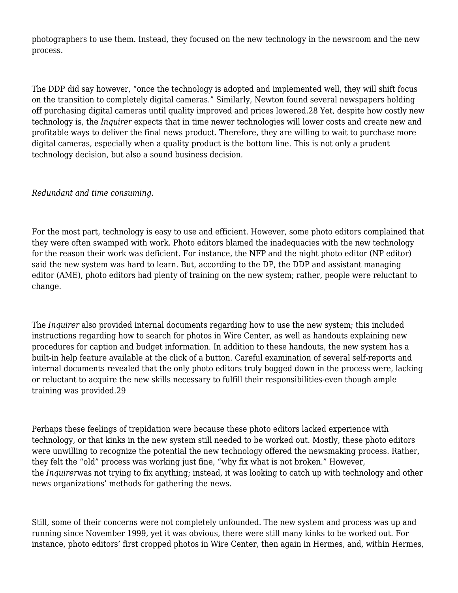photographers to use them. Instead, they focused on the new technology in the newsroom and the new process.

The DDP did say however, "once the technology is adopted and implemented well, they will shift focus on the transition to completely digital cameras." Similarly, Newton found several newspapers holding off purchasing digital cameras until quality improved and prices lowered.[28](#page--1-0) Yet, despite how costly new technology is, the *Inquirer* expects that in time newer technologies will lower costs and create new and profitable ways to deliver the final news product. Therefore, they are willing to wait to purchase more digital cameras, especially when a quality product is the bottom line. This is not only a prudent technology decision, but also a sound business decision.

### *Redundant and time consuming.*

For the most part, technology is easy to use and efficient. However, some photo editors complained that they were often swamped with work. Photo editors blamed the inadequacies with the new technology for the reason their work was deficient. For instance, the NFP and the night photo editor (NP editor) said the new system was hard to learn. But, according to the DP, the DDP and assistant managing editor (AME), photo editors had plenty of training on the new system; rather, people were reluctant to change.

The *Inquirer* also provided internal documents regarding how to use the new system; this included instructions regarding how to search for photos in Wire Center, as well as handouts explaining new procedures for caption and budget information. In addition to these handouts, the new system has a built-in help feature available at the click of a button. Careful examination of several self-reports and internal documents revealed that the only photo editors truly bogged down in the process were, lacking or reluctant to acquire the new skills necessary to fulfill their responsibilities-even though ample training was provided.[29](#page--1-0)

Perhaps these feelings of trepidation were because these photo editors lacked experience with technology, or that kinks in the new system still needed to be worked out. Mostly, these photo editors were unwilling to recognize the potential the new technology offered the newsmaking process. Rather, they felt the "old" process was working just fine, "why fix what is not broken." However, the *Inquirer*was not trying to fix anything; instead, it was looking to catch up with technology and other news organizations' methods for gathering the news.

Still, some of their concerns were not completely unfounded. The new system and process was up and running since November 1999, yet it was obvious, there were still many kinks to be worked out. For instance, photo editors' first cropped photos in Wire Center, then again in Hermes, and, within Hermes,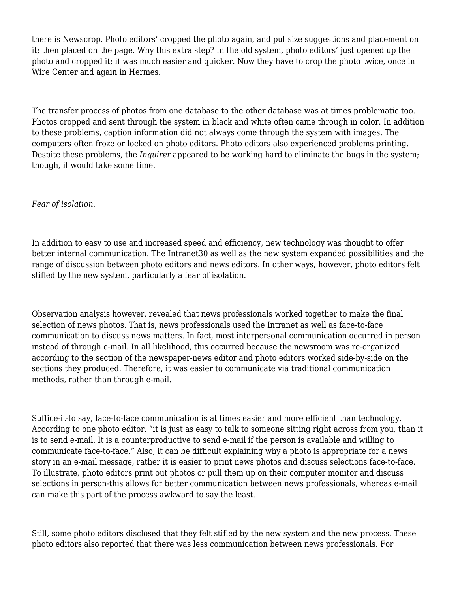there is Newscrop. Photo editors' cropped the photo again, and put size suggestions and placement on it; then placed on the page. Why this extra step? In the old system, photo editors' just opened up the photo and cropped it; it was much easier and quicker. Now they have to crop the photo twice, once in Wire Center and again in Hermes.

The transfer process of photos from one database to the other database was at times problematic too. Photos cropped and sent through the system in black and white often came through in color. In addition to these problems, caption information did not always come through the system with images. The computers often froze or locked on photo editors. Photo editors also experienced problems printing. Despite these problems, the *Inquirer* appeared to be working hard to eliminate the bugs in the system; though, it would take some time.

#### *Fear of isolation.*

In addition to easy to use and increased speed and efficiency, new technology was thought to offer better internal communication. The Intranet[30](#page--1-0) as well as the new system expanded possibilities and the range of discussion between photo editors and news editors. In other ways, however, photo editors felt stifled by the new system, particularly a fear of isolation.

Observation analysis however, revealed that news professionals worked together to make the final selection of news photos. That is, news professionals used the Intranet as well as face-to-face communication to discuss news matters. In fact, most interpersonal communication occurred in person instead of through e-mail. In all likelihood, this occurred because the newsroom was re-organized according to the section of the newspaper-news editor and photo editors worked side-by-side on the sections they produced. Therefore, it was easier to communicate via traditional communication methods, rather than through e-mail.

Suffice-it-to say, face-to-face communication is at times easier and more efficient than technology. According to one photo editor, "it is just as easy to talk to someone sitting right across from you, than it is to send e-mail. It is a counterproductive to send e-mail if the person is available and willing to communicate face-to-face." Also, it can be difficult explaining why a photo is appropriate for a news story in an e-mail message, rather it is easier to print news photos and discuss selections face-to-face. To illustrate, photo editors print out photos or pull them up on their computer monitor and discuss selections in person-this allows for better communication between news professionals, whereas e-mail can make this part of the process awkward to say the least.

Still, some photo editors disclosed that they felt stifled by the new system and the new process. These photo editors also reported that there was less communication between news professionals. For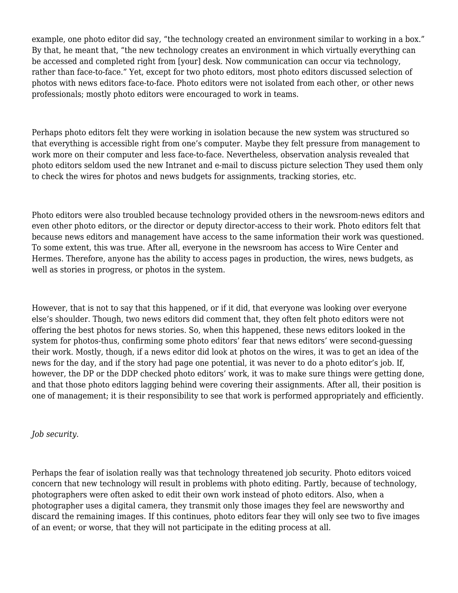example, one photo editor did say, "the technology created an environment similar to working in a box." By that, he meant that, "the new technology creates an environment in which virtually everything can be accessed and completed right from [your] desk. Now communication can occur via technology, rather than face-to-face." Yet, except for two photo editors, most photo editors discussed selection of photos with news editors face-to-face. Photo editors were not isolated from each other, or other news professionals; mostly photo editors were encouraged to work in teams.

Perhaps photo editors felt they were working in isolation because the new system was structured so that everything is accessible right from one's computer. Maybe they felt pressure from management to work more on their computer and less face-to-face. Nevertheless, observation analysis revealed that photo editors seldom used the new Intranet and e-mail to discuss picture selection They used them only to check the wires for photos and news budgets for assignments, tracking stories, etc.

Photo editors were also troubled because technology provided others in the newsroom-news editors and even other photo editors, or the director or deputy director-access to their work. Photo editors felt that because news editors and management have access to the same information their work was questioned. To some extent, this was true. After all, everyone in the newsroom has access to Wire Center and Hermes. Therefore, anyone has the ability to access pages in production, the wires, news budgets, as well as stories in progress, or photos in the system.

However, that is not to say that this happened, or if it did, that everyone was looking over everyone else's shoulder. Though, two news editors did comment that, they often felt photo editors were not offering the best photos for news stories. So, when this happened, these news editors looked in the system for photos-thus, confirming some photo editors' fear that news editors' were second-guessing their work. Mostly, though, if a news editor did look at photos on the wires, it was to get an idea of the news for the day, and if the story had page one potential, it was never to do a photo editor's job. If, however, the DP or the DDP checked photo editors' work, it was to make sure things were getting done, and that those photo editors lagging behind were covering their assignments. After all, their position is one of management; it is their responsibility to see that work is performed appropriately and efficiently.

#### *Job security.*

Perhaps the fear of isolation really was that technology threatened job security. Photo editors voiced concern that new technology will result in problems with photo editing. Partly, because of technology, photographers were often asked to edit their own work instead of photo editors. Also, when a photographer uses a digital camera, they transmit only those images they feel are newsworthy and discard the remaining images. If this continues, photo editors fear they will only see two to five images of an event; or worse, that they will not participate in the editing process at all.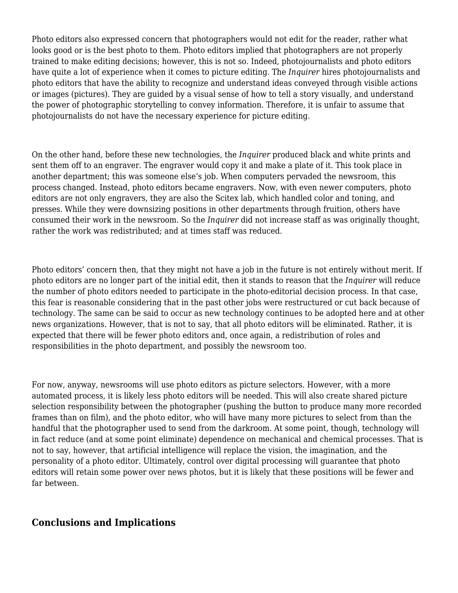Photo editors also expressed concern that photographers would not edit for the reader, rather what looks good or is the best photo to them. Photo editors implied that photographers are not properly trained to make editing decisions; however, this is not so. Indeed, photojournalists and photo editors have quite a lot of experience when it comes to picture editing. The *Inquirer* hires photojournalists and photo editors that have the ability to recognize and understand ideas conveyed through visible actions or images (pictures). They are guided by a visual sense of how to tell a story visually, and understand the power of photographic storytelling to convey information. Therefore, it is unfair to assume that photojournalists do not have the necessary experience for picture editing.

On the other hand, before these new technologies, the *Inquirer* produced black and white prints and sent them off to an engraver. The engraver would copy it and make a plate of it. This took place in another department; this was someone else's job. When computers pervaded the newsroom, this process changed. Instead, photo editors became engravers. Now, with even newer computers, photo editors are not only engravers, they are also the Scitex lab, which handled color and toning, and presses. While they were downsizing positions in other departments through fruition, others have consumed their work in the newsroom. So the *Inquirer* did not increase staff as was originally thought, rather the work was redistributed; and at times staff was reduced.

Photo editors' concern then, that they might not have a job in the future is not entirely without merit. If photo editors are no longer part of the initial edit, then it stands to reason that the *Inquirer* will reduce the number of photo editors needed to participate in the photo-editorial decision process. In that case, this fear is reasonable considering that in the past other jobs were restructured or cut back because of technology. The same can be said to occur as new technology continues to be adopted here and at other news organizations. However, that is not to say, that all photo editors will be eliminated. Rather, it is expected that there will be fewer photo editors and, once again, a redistribution of roles and responsibilities in the photo department, and possibly the newsroom too.

For now, anyway, newsrooms will use photo editors as picture selectors. However, with a more automated process, it is likely less photo editors will be needed. This will also create shared picture selection responsibility between the photographer (pushing the button to produce many more recorded frames than on film), and the photo editor, who will have many more pictures to select from than the handful that the photographer used to send from the darkroom. At some point, though, technology will in fact reduce (and at some point eliminate) dependence on mechanical and chemical processes. That is not to say, however, that artificial intelligence will replace the vision, the imagination, and the personality of a photo editor. Ultimately, control over digital processing will guarantee that photo editors will retain some power over news photos, but it is likely that these positions will be fewer and far between.

# **Conclusions and Implications**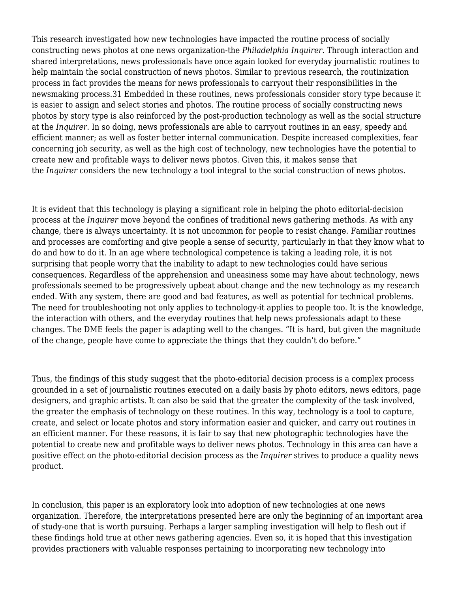This research investigated how new technologies have impacted the routine process of socially constructing news photos at one news organization-the *Philadelphia Inquirer*. Through interaction and shared interpretations, news professionals have once again looked for everyday journalistic routines to help maintain the social construction of news photos. Similar to previous research, the routinization process in fact provides the means for news professionals to carryout their responsibilities in the newsmaking process[.31](#page--1-0) Embedded in these routines, news professionals consider story type because it is easier to assign and select stories and photos. The routine process of socially constructing news photos by story type is also reinforced by the post-production technology as well as the social structure at the *Inquirer*. In so doing, news professionals are able to carryout routines in an easy, speedy and efficient manner; as well as foster better internal communication. Despite increased complexities, fear concerning job security, as well as the high cost of technology, new technologies have the potential to create new and profitable ways to deliver news photos. Given this, it makes sense that the *Inquirer* considers the new technology a tool integral to the social construction of news photos.

It is evident that this technology is playing a significant role in helping the photo editorial-decision process at the *Inquirer* move beyond the confines of traditional news gathering methods. As with any change, there is always uncertainty. It is not uncommon for people to resist change. Familiar routines and processes are comforting and give people a sense of security, particularly in that they know what to do and how to do it. In an age where technological competence is taking a leading role, it is not surprising that people worry that the inability to adapt to new technologies could have serious consequences. Regardless of the apprehension and uneasiness some may have about technology, news professionals seemed to be progressively upbeat about change and the new technology as my research ended. With any system, there are good and bad features, as well as potential for technical problems. The need for troubleshooting not only applies to technology-it applies to people too. It is the knowledge, the interaction with others, and the everyday routines that help news professionals adapt to these changes. The DME feels the paper is adapting well to the changes. "It is hard, but given the magnitude of the change, people have come to appreciate the things that they couldn't do before."

Thus, the findings of this study suggest that the photo-editorial decision process is a complex process grounded in a set of journalistic routines executed on a daily basis by photo editors, news editors, page designers, and graphic artists. It can also be said that the greater the complexity of the task involved, the greater the emphasis of technology on these routines. In this way, technology is a tool to capture, create, and select or locate photos and story information easier and quicker, and carry out routines in an efficient manner. For these reasons, it is fair to say that new photographic technologies have the potential to create new and profitable ways to deliver news photos. Technology in this area can have a positive effect on the photo-editorial decision process as the *Inquirer* strives to produce a quality news product.

In conclusion, this paper is an exploratory look into adoption of new technologies at one news organization. Therefore, the interpretations presented here are only the beginning of an important area of study-one that is worth pursuing. Perhaps a larger sampling investigation will help to flesh out if these findings hold true at other news gathering agencies. Even so, it is hoped that this investigation provides practioners with valuable responses pertaining to incorporating new technology into